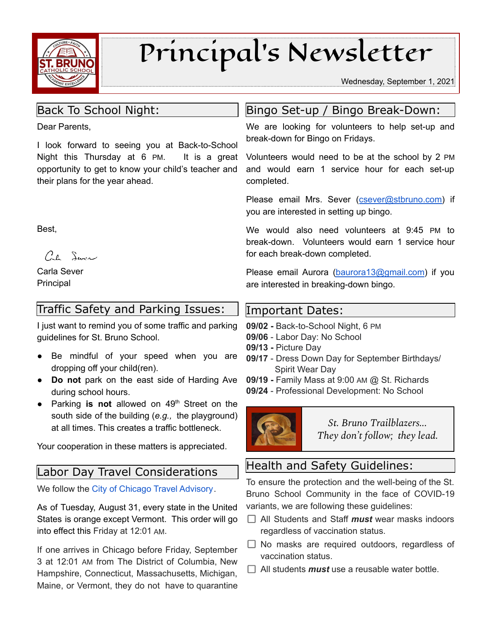

# Principal's Newsletter

Wednesday, September 1, 2021

# Back To School Night:

Dear Parents,

I look forward to seeing you at Back-to-School Night this Thursday at 6 PM. It is a great opportunity to get to know your child's teacher and their plans for the year ahead.

Best,

Cal Service

Carla Sever Principal

# Traffic Safety and Parking Issues:

I just want to remind you of some traffic and parking guidelines for St. Bruno School.

- Be mindful of your speed when you are dropping off your child(ren).
- **Do not** park on the east side of Harding Ave during school hours.
- **•** Parking is not allowed on 49<sup>th</sup> Street on the south side of the building (*e.g.,* the playground) at all times. This creates a traffic bottleneck.

Your cooperation in these matters is appreciated.

## Labor Day Travel Considerations

We follow the City of Chicago Travel [Advisory](https://www.chicago.gov/city/en/sites/covid-19/home/emergency-travel-order.html).

As of Tuesday, August 31, every state in the United States is orange except Vermont. This order will go into effect this Friday at 12:01 AM.

If one arrives in Chicago before Friday, September 3 at 12:01 AM from The District of Columbia, New Hampshire, Connecticut, Massachusetts, Michigan, Maine, or Vermont, they do not have to quarantine

# Bingo Set-up / Bingo Break-Down:

We are looking for volunteers to help set-up and break-down for Bingo on Fridays.

Volunteers would need to be at the school by 2 PM and would earn 1 service hour for each set-up completed.

Please email Mrs. Sever ([csever@stbruno.com\)](mailto:csever@stbruno.com) if you are interested in setting up bingo.

We would also need volunteers at 9:45 PM to break-down. Volunteers would earn 1 service hour for each break-down completed.

Please email Aurora [\(baurora13@gmail.com\)](mailto:baurora13@gmail.com) if you are interested in breaking-down bingo.

#### Important Dates:

**09/02 -** Back-to-School Night, 6 PM

- **09/06** Labor Day: No School
- **09/13 -** Picture Day
- **09/17** Dress Down Day for September Birthdays/ Spirit Wear Day
- **09/19 -** Family Mass at 9:00 AM @ St. Richards
- **09/24** Professional Development: No School



*St. Bruno Trailblazers... They don't follow; they lead.*

# Health and Safety Guidelines:

To ensure the protection and the well-being of the St. Bruno School Community in the face of COVID-19 variants, we are following these guidelines:

- All Students and Staff *must* wear masks indoors regardless of vaccination status.
- $\Box$  No masks are required outdoors, regardless of vaccination status.
- $\Box$  All students *must* use a reusable water bottle.